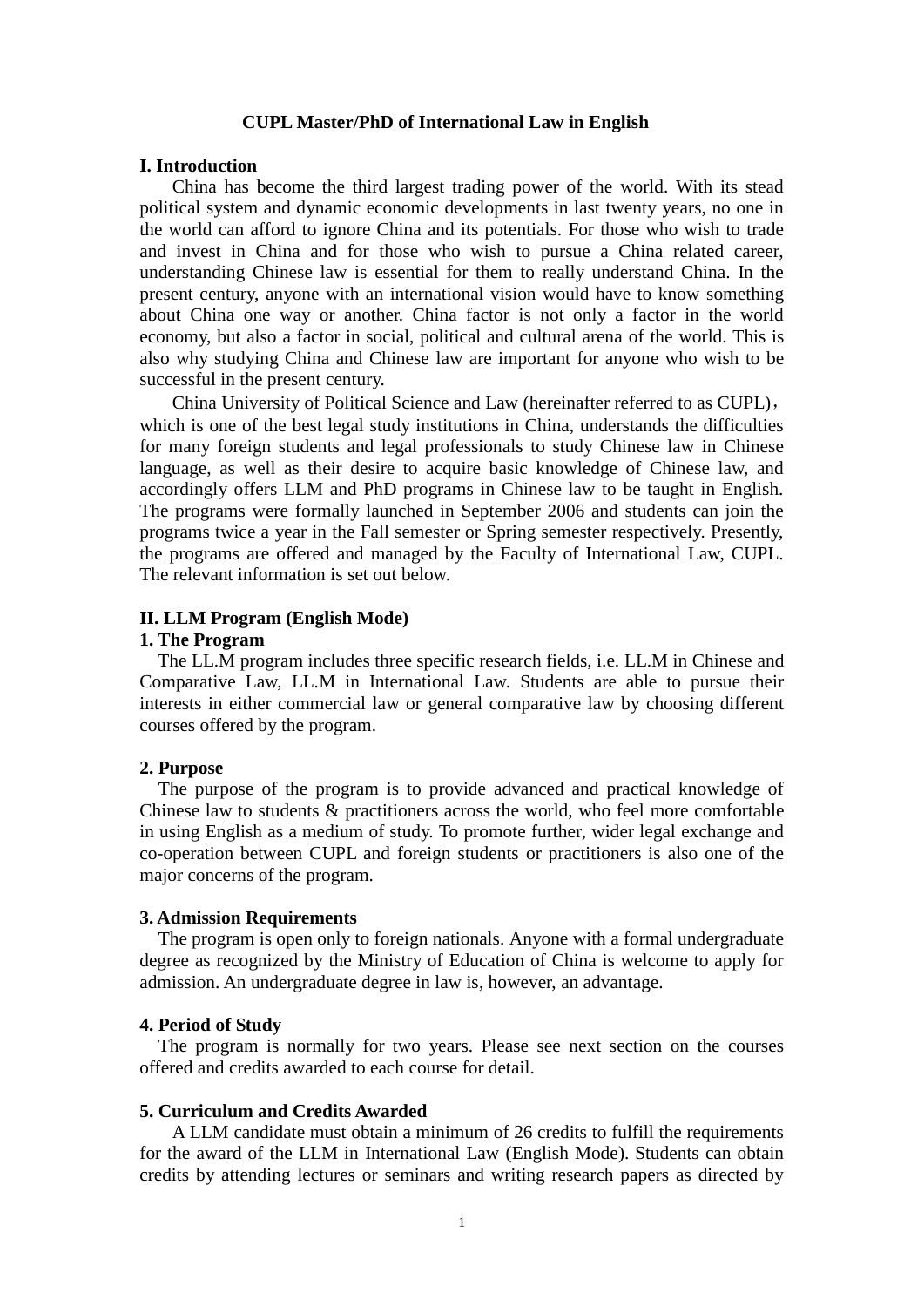#### **CUPL Master/PhD of International Law in English**

#### **I. Introduction**

China has become the third largest trading power of the world. With its stead political system and dynamic economic developments in last twenty years, no one in the world can afford to ignore China and its potentials. For those who wish to trade and invest in China and for those who wish to pursue a China related career, understanding Chinese law is essential for them to really understand China. In the present century, anyone with an international vision would have to know something about China one way or another. China factor is not only a factor in the world economy, but also a factor in social, political and cultural arena of the world. This is also why studying China and Chinese law are important for anyone who wish to be successful in the present century.

China University of Political Science and Law (hereinafter referred to as CUPL), which is one of the best legal study institutions in China, understands the difficulties for many foreign students and legal professionals to study Chinese law in Chinese language, as well as their desire to acquire basic knowledge of Chinese law, and accordingly offers LLM and PhD programs in Chinese law to be taught in English. The programs were formally launched in September 2006 and students can join the programs twice a year in the Fall semester or Spring semester respectively. Presently, the programs are offered and managed by the Faculty of International Law, CUPL. The relevant information is set out below.

### **II. LLM Program (English Mode)**

### **1. The Program**

The LL.M program includes three specific research fields, i.e. LL.M in Chinese and Comparative Law, LL.M in International Law. Students are able to pursue their interests in either commercial law or general comparative law by choosing different courses offered by the program.

## **2. Purpose**

The purpose of the program is to provide advanced and practical knowledge of Chinese law to students & practitioners across the world, who feel more comfortable in using English as a medium of study. To promote further, wider legal exchange and co-operation between CUPL and foreign students or practitioners is also one of the major concerns of the program.

#### **3. Admission Requirements**

The program is open only to foreign nationals. Anyone with a formal undergraduate degree as recognized by the Ministry of Education of China is welcome to apply for admission. An undergraduate degree in law is, however, an advantage.

#### **4. Period of Study**

The program is normally for two years. Please see next section on the courses offered and credits awarded to each course for detail.

## **5. Curriculum and Credits Awarded**

A LLM candidate must obtain a minimum of 26 credits to fulfill the requirements for the award of the LLM in International Law (English Mode). Students can obtain credits by attending lectures or seminars and writing research papers as directed by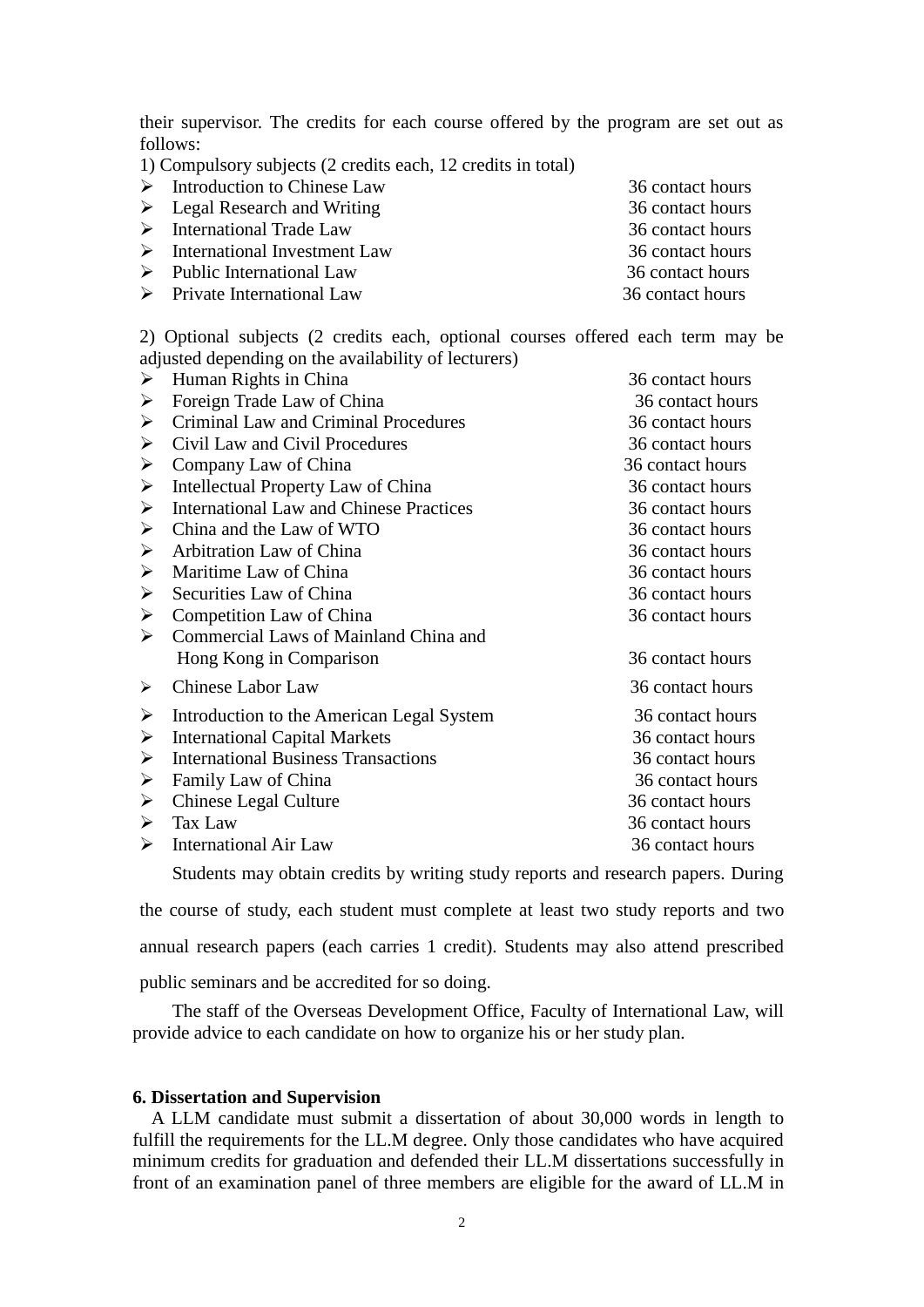their supervisor. The credits for each course offered by the program are set out as follows:

1) Compulsory subjects (2 credits each, 12 credits in total)

| $\triangleright$ Introduction to Chinese Law  | 36 contact hours |
|-----------------------------------------------|------------------|
| $\triangleright$ Legal Research and Writing   | 36 contact hours |
| $\triangleright$ International Trade Law      | 36 contact hours |
| $\triangleright$ International Investment Law | 36 contact hours |
| $\triangleright$ Public International Law     | 36 contact hours |
| $\triangleright$ Private International Law    | 36 contact hours |

2) Optional subjects (2 credits each, optional courses offered each term may be adjusted depending on the availability of lecturers)

| ➤                     | Human Rights in China                          | 36 contact hours |
|-----------------------|------------------------------------------------|------------------|
| ➤                     | Foreign Trade Law of China                     | 36 contact hours |
| ➤                     | Criminal Law and Criminal Procedures           | 36 contact hours |
| ➤                     | Civil Law and Civil Procedures                 | 36 contact hours |
| ➤                     | Company Law of China                           | 36 contact hours |
| ➤                     | Intellectual Property Law of China             | 36 contact hours |
| ➤                     | <b>International Law and Chinese Practices</b> | 36 contact hours |
| ➤                     | China and the Law of WTO                       | 36 contact hours |
| ➤                     | Arbitration Law of China                       | 36 contact hours |
| ➤                     | Maritime Law of China                          | 36 contact hours |
| ➤                     | Securities Law of China                        | 36 contact hours |
| ➤                     | Competition Law of China                       | 36 contact hours |
| $\blacktriangleright$ | Commercial Laws of Mainland China and          |                  |
|                       | Hong Kong in Comparison                        | 36 contact hours |
| ≻                     | <b>Chinese Labor Law</b>                       | 36 contact hours |
| ➤                     | Introduction to the American Legal System      | 36 contact hours |
| ➤                     | <b>International Capital Markets</b>           | 36 contact hours |
| ➤                     | <b>International Business Transactions</b>     | 36 contact hours |
| ➤                     | Family Law of China                            | 36 contact hours |
| ➤                     | Chinese Legal Culture                          | 36 contact hours |
| ➤                     | Tax Law                                        | 36 contact hours |
| ➤                     | <b>International Air Law</b>                   | 36 contact hours |
|                       |                                                |                  |

Students may obtain credits by writing study reports and research papers. During

the course of study, each student must complete at least two study reports and two annual research papers (each carries 1 credit). Students may also attend prescribed

public seminars and be accredited for so doing.

The staff of the Overseas Development Office, Faculty of International Law, will provide advice to each candidate on how to organize his or her study plan.

## **6. Dissertation and Supervision**

A LLM candidate must submit a dissertation of about 30,000 words in length to fulfill the requirements for the LL.M degree. Only those candidates who have acquired minimum credits for graduation and defended their LL.M dissertations successfully in front of an examination panel of three members are eligible for the award of LL.M in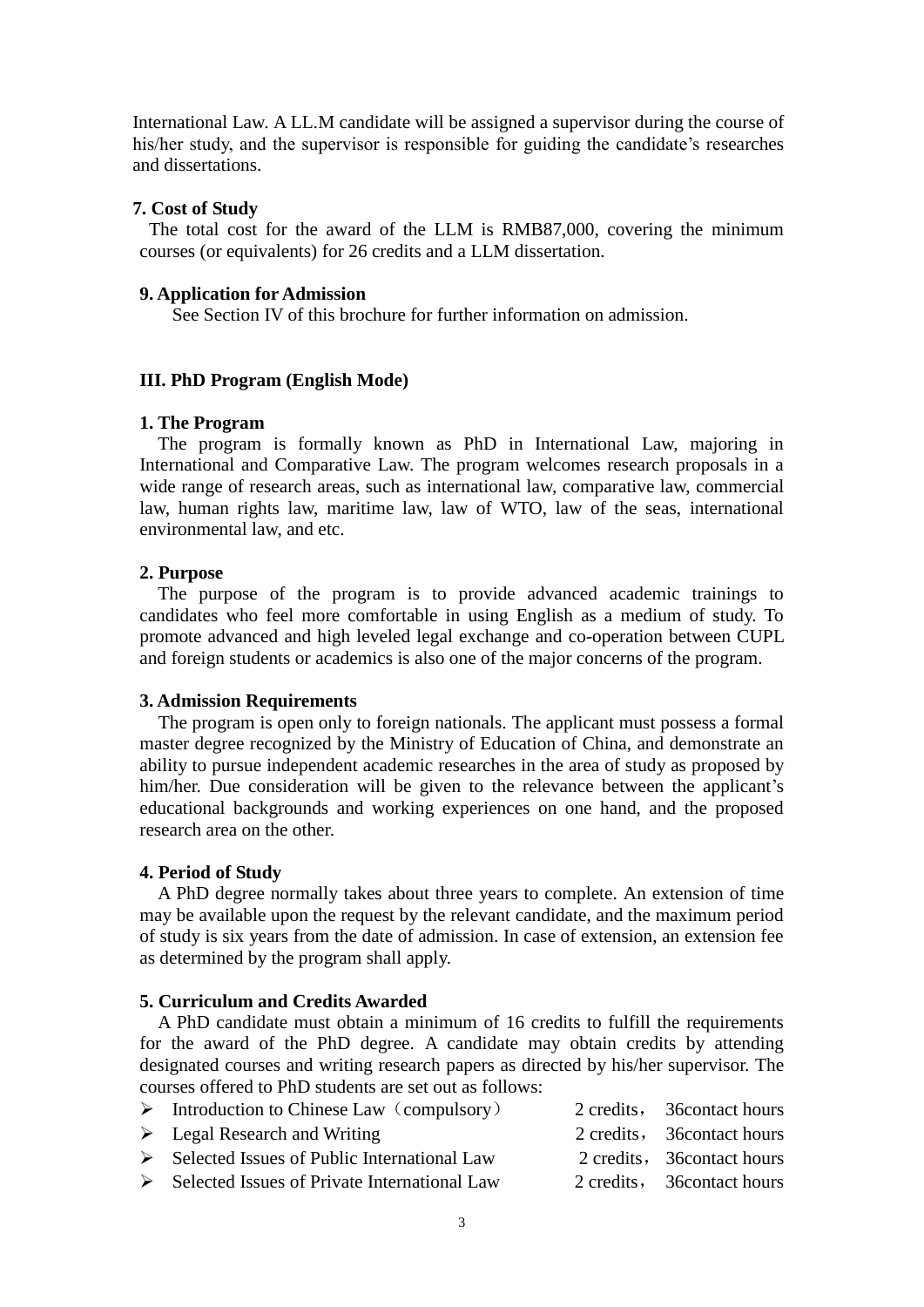International Law. A LL.M candidate will be assigned a supervisor during the course of his/her study, and the supervisor is responsible for guiding the candidate's researches and dissertations.

## **7. Cost of Study**

The total cost for the award of the LLM is RMB87,000, covering the minimum courses (or equivalents) for 26 credits and a LLM dissertation.

### **9. Application for Admission**

See Section IV of this brochure for further information on admission.

## **III. PhD Program (English Mode)**

#### **1. The Program**

The program is formally known as PhD in International Law, majoring in International and Comparative Law. The program welcomes research proposals in a wide range of research areas, such as international law, comparative law, commercial law, human rights law, maritime law, law of WTO, law of the seas, international environmental law, and etc.

# **2. Purpose**

The purpose of the program is to provide advanced academic trainings to candidates who feel more comfortable in using English as a medium of study. To promote advanced and high leveled legal exchange and co-operation between CUPL and foreign students or academics is also one of the major concerns of the program.

#### **3. Admission Requirements**

The program is open only to foreign nationals. The applicant must possess a formal master degree recognized by the Ministry of Education of China, and demonstrate an ability to pursue independent academic researches in the area of study as proposed by him/her. Due consideration will be given to the relevance between the applicant's educational backgrounds and working experiences on one hand, and the proposed research area on the other.

### **4. Period of Study**

A PhD degree normally takes about three years to complete. An extension of time may be available upon the request by the relevant candidate, and the maximum period of study is six years from the date of admission. In case of extension, an extension fee as determined by the program shall apply.

### **5. Curriculum and Credits Awarded**

A PhD candidate must obtain a minimum of 16 credits to fulfill the requirements for the award of the PhD degree. A candidate may obtain credits by attending designated courses and writing research papers as directed by his/her supervisor. The courses offered to PhD students are set out as follows:

| $\triangleright$ Introduction to Chinese Law (compulsory)     | 2 credits, 36 contact hours |
|---------------------------------------------------------------|-----------------------------|
| $\triangleright$ Legal Research and Writing                   | 2 credits, 36 contact hours |
| $\triangleright$ Selected Issues of Public International Law  | 2 credits, 36 contact hours |
| $\triangleright$ Selected Issues of Private International Law | 2 credits, 36 contact hours |